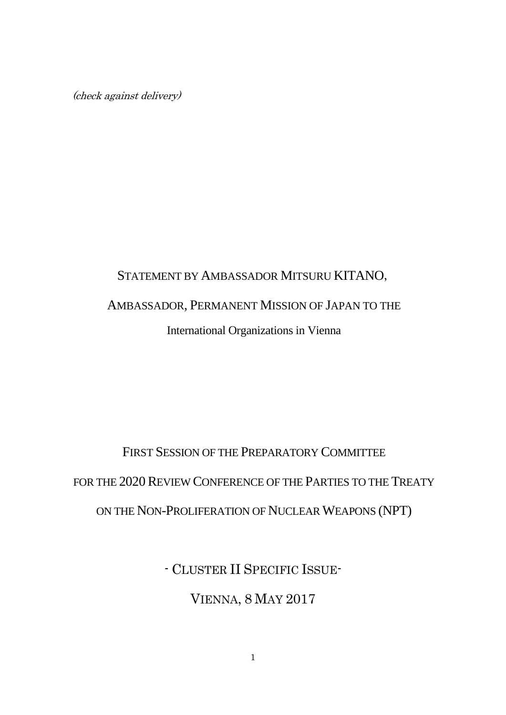(check against delivery)

## STATEMENT BY AMBASSADOR MITSURU KITANO, AMBASSADOR, PERMANENT MISSION OF JAPAN TO THE International Organizations in Vienna

## FIRST SESSION OF THE PREPARATORY COMMITTEE FOR THE 2020 REVIEW CONFERENCE OF THE PARTIES TO THE TREATY ON THE NON-PROLIFERATION OF NUCLEAR WEAPONS (NPT)

- CLUSTER II SPECIFIC ISSUE-

VIENNA, 8 MAY 2017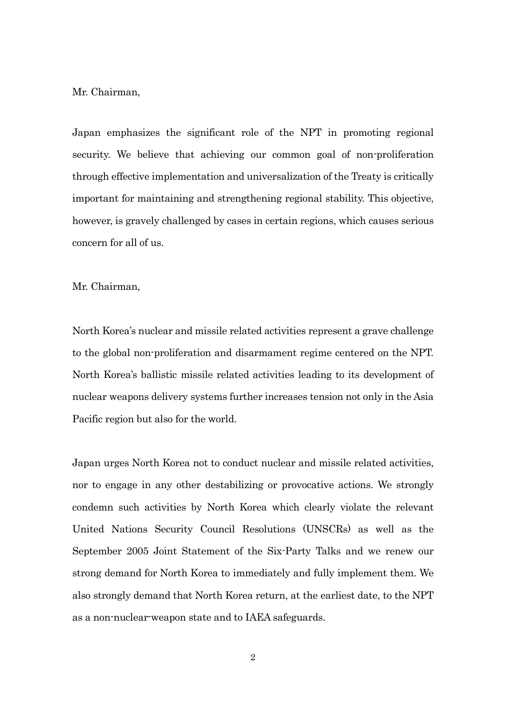Mr. Chairman,

Japan emphasizes the significant role of the NPT in promoting regional security. We believe that achieving our common goal of non-proliferation through effective implementation and universalization of the Treaty is critically important for maintaining and strengthening regional stability. This objective, however, is gravely challenged by cases in certain regions, which causes serious concern for all of us.

Mr. Chairman,

North Korea's nuclear and missile related activities represent a grave challenge to the global non-proliferation and disarmament regime centered on the NPT. North Korea's ballistic missile related activities leading to its development of nuclear weapons delivery systems further increases tension not only in the Asia Pacific region but also for the world.

Japan urges North Korea not to conduct nuclear and missile related activities, nor to engage in any other destabilizing or provocative actions. We strongly condemn such activities by North Korea which clearly violate the relevant United Nations Security Council Resolutions (UNSCRs) as well as the September 2005 Joint Statement of the Six-Party Talks and we renew our strong demand for North Korea to immediately and fully implement them. We also strongly demand that North Korea return, at the earliest date, to the NPT as a non-nuclear-weapon state and to IAEA safeguards.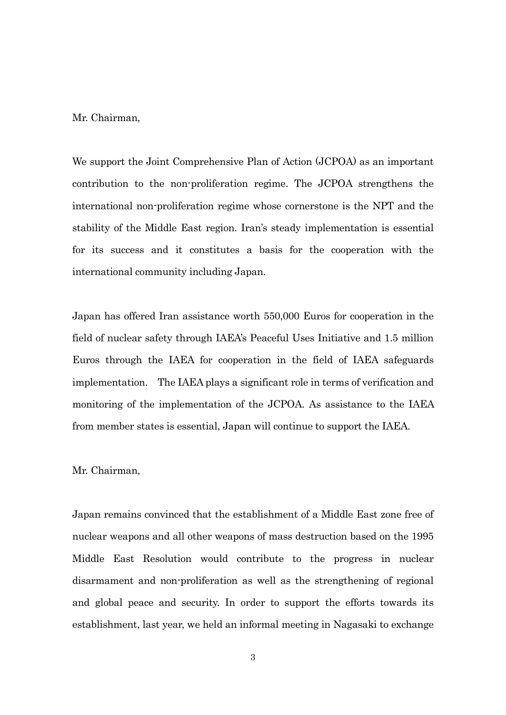Mr. Chairman,

We support the Joint Comprehensive Plan of Action (JCPOA) as an important contribution to the non-proliferation regime. The JCPOA strengthens the international non-proliferation regime whose cornerstone is the NPT and the stability of the Middle East region. Iran's steady implementation is essential for its success and it constitutes a basis for the cooperation with the international community including Japan.

Japan has offered Iran assistance worth 550,000 Euros for cooperation in the field of nuclear safety through IAEA's Peaceful Uses Initiative and 1.5 million Euros through the IAEA for cooperation in the field of IAEA safeguards implementation. The IAEA plays a significant role in terms of verification and monitoring of the implementation of the JCPOA. As assistance to the IAEA from member states is essential, Japan will continue to support the IAEA.

## Mr. Chairman,

Japan remains convinced that the establishment of a Middle East zone free of nuclear weapons and all other weapons of mass destruction based on the 1995 Middle East Resolution would contribute to the progress in nuclear disarmament and non-proliferation as well as the strengthening of regional and global peace and security. In order to support the efforts towards its establishment, last year, we held an informal meeting in Nagasaki to exchange